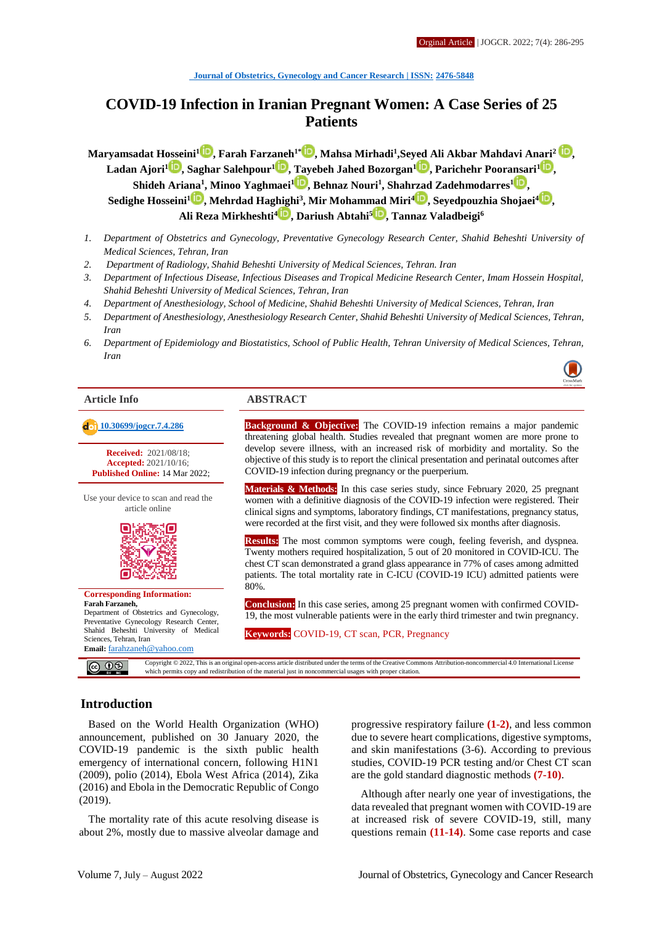# **COVID-19 Infection in Iranian Pregnant Women: A Case Series of 25 Patients**

**Maryamsadat Hosseini<sup>1</sup> [,](http://orcid.org/0000-0001-8303-3681) Farah Farzaneh1\* [,](http://orcid.org/0000-0003-3600-1374) Mahsa Mirhadi<sup>1</sup> ,Seyed Ali Akbar Mahdavi Anari<sup>2</sup> , Ladan Ajori<sup>[1](http://orcid.org/0000-0002-8245-6305)</sup> <b>D**[,](http://orcid.org/0000-0003-3203-8444) Saghar Salehpour<sup>1</sup> **D**, Tayebeh Jahed Bozorgan<sup>1</sup> **D**, Parichehr Pooransari<sup>1</sup> **D**, **Shideh Ariana<sup>1</sup> , Minoo Yaghmaei[1](http://orcid.org/0000-0002-9532-0140) , Behnaz Nouri<sup>1</sup> , Shahrzad Zadehmodarres<sup>1</sup> [,](http://orcid.org/0000-0002-0584-4240) Sedighe Hosseini<sup>1</sup> [,](http://orcid.org/0000-0002-4191-0196) Mehrdad Haghighi<sup>3</sup> , Mir Mohammad Miri[4](http://orcid.org/0000-0002-3760-636X) , Seyedpouzhia Shojaei<sup>4</sup> [,](http://orcid.org/0000-0001-8708-0119) Ali Reza Mirkheshti<sup>4</sup> [,](http://orcid.org/0000-0003-2781-5843) Dariush Abtahi<sup>5</sup> [,](http://orcid.org/0000-0001-8127-2363) Tannaz Valadbeigi<sup>6</sup>**

- *1. Department of Obstetrics and Gynecology, Preventative Gynecology Research Center, Shahid Beheshti University of Medical Sciences, Tehran, Iran*
- *2. Department of Radiology, Shahid Beheshti University of Medical Sciences, Tehran. Iran*
- *3. Department of Infectious Disease, Infectious Diseases and Tropical Medicine Research Center, Imam Hossein Hospital, Shahid Beheshti University of Medical Sciences, Tehran, Iran*
- *4. Department of Anesthesiology, School of Medicine, Shahid Beheshti University of Medical Sciences, Tehran, Iran*
- *5. Department of Anesthesiology, Anesthesiology Research Center, Shahid Beheshti University of Medical Sciences, Tehran, Iran*
- *6. Department of Epidemiology and Biostatistics, School of Public Health, Tehran University of Medical Sciences, Tehran, Iran*

**Received:** 2021/08/18; **Accepted:** 2021/10/16; **Published Online:** 14 Mar 2022;

Use your device to scan and read the article online



**Corresponding Information: Farah Farzaneh,** Department of Obstetrics and Gynecology, Preventative Gynecology Research Center, Shahid Beheshti University of Medical Sciences, Tehran, Iran **Email:** [farahzaneh@yahoo.com](mailto:farahzaneh@yahoo.com)

#### **Article Info ABSTRACT**

 **[10.30699/jogcr.7.4.286](http://dx.doi.org/10.30699/jogcr.7.4.286) Background & Objective:** The COVID-19 infection remains a major pandemic threatening global health. Studies revealed that pregnant women are more prone to develop severe illness, with an increased risk of morbidity and mortality. So the objective of this study is to report the clinical presentation and perinatal outcomes after COVID-19 infection during pregnancy or the puerperium.

> **Materials & Methods:** In this case series study, since February 2020, 25 pregnant women with a definitive diagnosis of the COVID-19 infection were registered. Their clinical signs and symptoms, laboratory findings, CT manifestations, pregnancy status, were recorded at the first visit, and they were followed six months after diagnosis.

> **Results:** The most common symptoms were cough, feeling feverish, and dyspnea. Twenty mothers required hospitalization, 5 out of 20 monitored in COVID-ICU. The chest CT scan demonstrated a grand glass appearance in 77% of cases among admitted patients. The total mortality rate in C-ICU (COVID-19 ICU) admitted patients were 80%.

> **Conclusion:** In this case series, among 25 pregnant women with confirmed COVID-19, the most vulnerable patients were in the early third trimester and twin pregnancy.

**Keywords:** COVID-19, CT scan, PCR, Pregnancy

Copyright © 2022, This is an original open-access article distributed under the terms of the Creative Commons Attribution-noncommercial 4.0 International License which permits copy and redistribution of the material just in noncommercial usages with proper citation.

#### **Introduction**

Based on the World Health Organization (WHO) announcement, published on 30 January 2020, the COVID-19 pandemic is the sixth public health emergency of international concern, following H1N1 (2009), polio (2014), Ebola West Africa (2014), Zika (2016) and Ebola in the Democratic Republic of Congo (2019).

The mortality rate of this acute resolving disease is about 2%, mostly due to massive alveolar damage and progressive respiratory failure **(1-2)**, and less common due to severe heart complications, digestive symptoms, and skin manifestations (3-6). According to previous studies, COVID-19 PCR testing and/or Chest CT scan are the gold standard diagnostic methods **(7-10)**.

Although after nearly one year of investigations, the data revealed that pregnant women with COVID-19 are at increased risk of severe COVID-19, still, many questions remain **(11-14)**. Some case reports and case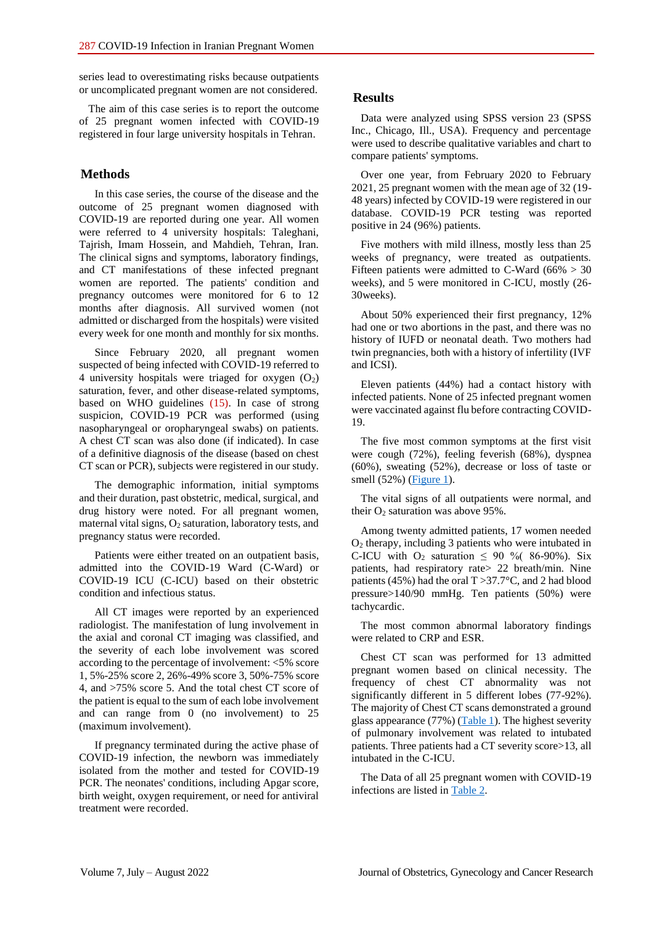series lead to overestimating risks because outpatients or uncomplicated pregnant women are not considered.

The aim of this case series is to report the outcome of 25 pregnant women infected with COVID-19 registered in four large university hospitals in Tehran.

## **Methods**

In this case series, the course of the disease and the outcome of 25 pregnant women diagnosed with COVID-19 are reported during one year. All women were referred to 4 university hospitals: Taleghani, Tajrish, Imam Hossein, and Mahdieh, Tehran, Iran. The clinical signs and symptoms, laboratory findings, and CT manifestations of these infected pregnant women are reported. The patients' condition and pregnancy outcomes were monitored for 6 to 12 months after diagnosis. All survived women (not admitted or discharged from the hospitals) were visited every week for one month and monthly for six months.

Since February 2020, all pregnant women suspected of being infected with COVID-19 referred to 4 university hospitals were triaged for oxygen  $(O_2)$ saturation, fever, and other disease-related symptoms, based on WHO guidelines (15). In case of strong suspicion, COVID-19 PCR was performed (using nasopharyngeal or oropharyngeal swabs) on patients. A chest CT scan was also done (if indicated). In case of a definitive diagnosis of the disease (based on chest CT scan or PCR), subjects were registered in our study.

The demographic information, initial symptoms and their duration, past obstetric, medical, surgical, and drug history were noted. For all pregnant women, maternal vital signs,  $O_2$  saturation, laboratory tests, and pregnancy status were recorded.

Patients were either treated on an outpatient basis, admitted into the COVID-19 Ward (C-Ward) or COVID-19 ICU (C-ICU) based on their obstetric condition and infectious status.

All CT images were reported by an experienced radiologist. The manifestation of lung involvement in the axial and coronal CT imaging was classified, and the severity of each lobe involvement was scored according to the percentage of involvement: <5% score 1, 5%-25% score 2, 26%-49% score 3, 50%-75% score 4, and >75% score 5. And the total chest CT score of the patient is equal to the sum of each lobe involvement and can range from 0 (no involvement) to 25 (maximum involvement).

If pregnancy terminated during the active phase of COVID-19 infection, the newborn was immediately isolated from the mother and tested for COVID-19 PCR. The neonates' conditions, including Apgar score, birth weight, oxygen requirement, or need for antiviral treatment were recorded.

## **Results**

Data were analyzed using SPSS version 23 (SPSS Inc., Chicago, Ill., USA). Frequency and percentage were used to describe qualitative variables and chart to compare patients' symptoms.

Over one year, from February 2020 to February 2021, 25 pregnant women with the mean age of 32 (19- 48 years) infected by COVID-19 were registered in our database. COVID-19 PCR testing was reported positive in 24 (96%) patients.

Five mothers with mild illness, mostly less than 25 weeks of pregnancy, were treated as outpatients. Fifteen patients were admitted to C-Ward ( $66\% > 30$ weeks), and 5 were monitored in C-ICU, mostly (26- 30weeks).

About 50% experienced their first pregnancy, 12% had one or two abortions in the past, and there was no history of IUFD or neonatal death. Two mothers had twin pregnancies, both with a history of infertility (IVF and ICSI).

Eleven patients (44%) had a contact history with infected patients. None of 25 infected pregnant women were vaccinated against flu before contracting COVID-19.

The five most common symptoms at the first visit were cough (72%), feeling feverish (68%), dyspnea (60%), sweating (52%), decrease or loss of taste or smell  $(52%)$  [\(Figure 1\)](#page-2-0).

The vital signs of all outpatients were normal, and their  $O_2$  saturation was above 95%.

Among twenty admitted patients, 17 women needed O<sup>2</sup> therapy, including 3 patients who were intubated in C-ICU with  $O_2$  saturation  $\leq 90$  % (86-90%). Six patients, had respiratory rate> 22 breath/min. Nine patients (45%) had the oral T >37.7°C, and 2 had blood pressure>140/90 mmHg. Ten patients (50%) were tachycardic.

The most common abnormal laboratory findings were related to CRP and ESR.

Chest CT scan was performed for 13 admitted pregnant women based on clinical necessity. The frequency of chest CT abnormality was not significantly different in 5 different lobes (77-92%). The majority of Chest CT scans demonstrated a ground glass appearance  $(77%)$  [\(Table 1\)](#page-2-1). The highest severity of pulmonary involvement was related to intubated patients. Three patients had a CT severity score>13, all intubated in the C-ICU.

The Data of all 25 pregnant women with COVID-19 infections are listed in [Table 2.](#page-2-2)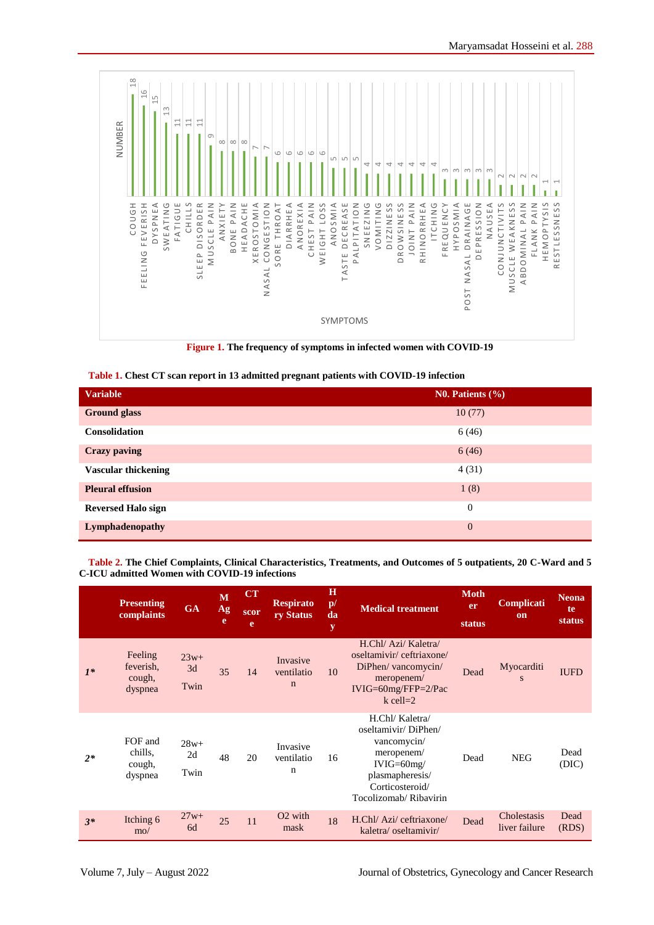

<span id="page-2-0"></span>**Figure 1. The frequency of symptoms in infected women with COVID-19**

<span id="page-2-1"></span>

|  |  | Table 1. Chest CT scan report in 13 admitted pregnant patients with COVID-19 infection |  |
|--|--|----------------------------------------------------------------------------------------|--|
|--|--|----------------------------------------------------------------------------------------|--|

| <b>Variable</b>            | No. Patients $(\% )$ |
|----------------------------|----------------------|
| <b>Ground glass</b>        | 10(77)               |
| <b>Consolidation</b>       | 6(46)                |
| <b>Crazy paving</b>        | 6(46)                |
| <b>Vascular thickening</b> | 4(31)                |
| <b>Pleural effusion</b>    | 1(8)                 |
| <b>Reversed Halo sign</b>  | $\theta$             |
| Lymphadenopathy            | $\mathbf{0}$         |

<span id="page-2-2"></span>**Table 2. The Chief Complaints, Clinical Characteristics, Treatments, and Outcomes of 5 outpatients, 20 C-Ward and 5 C-ICU admitted Women with COVID-19 infections** 

|       | <b>Presenting</b><br>complaints           | <b>GA</b>            | M<br>Ag<br>e | CT<br>scor<br>e | <b>Respirato</b><br>ry Status         | $\bf H$<br>$\mathbf{p}$ /<br>da<br>y | <b>Medical treatment</b>                                                                                                                           | <b>Moth</b><br><b>er</b><br>status | Complicati<br><sub>on</sub>  | <b>Neona</b><br>te<br><b>status</b> |
|-------|-------------------------------------------|----------------------|--------------|-----------------|---------------------------------------|--------------------------------------|----------------------------------------------------------------------------------------------------------------------------------------------------|------------------------------------|------------------------------|-------------------------------------|
| $1^*$ | Feeling<br>feverish,<br>cough,<br>dyspnea | $23w+$<br>3d<br>Twin | 35           | 14              | Invasive<br>ventilatio<br>$\mathbf n$ | 10                                   | H.Chl/ Azi/ Kaletra/<br>oseltamivir/ceftriaxone/<br>DiPhen/ vancomycin/<br>meropenem/<br>$IVIG=60mg/FFP=2/Pac$<br>$k$ cell=2                       | Dead                               | Myocarditi<br>S              | <b>IUFD</b>                         |
| $2*$  | FOF and<br>chills,<br>cough,<br>dyspnea   | $28w+$<br>2d<br>Twin | 48           | 20              | Invasive<br>ventilatio<br>$\mathbf n$ | 16                                   | H.Chl/ Kaletra/<br>oseltamivir/DiPhen/<br>vancomycin/<br>meropenem/<br>$IVIG=60mg/$<br>plasmapheresis/<br>Corticosteroid/<br>Tocolizomab/Ribavirin | Dead                               | <b>NEG</b>                   | Dead<br>(DIC)                       |
| $3*$  | Itching 6<br>$\text{mo}/$                 | $27w+$<br>6d         | 25           | 11              | O <sub>2</sub> with<br>mask           | 18                                   | H.Chl/ Azi/ ceftriaxone/<br>kaletra/oseltamivir/                                                                                                   | Dead                               | Cholestasis<br>liver failure | Dead<br>(RDS)                       |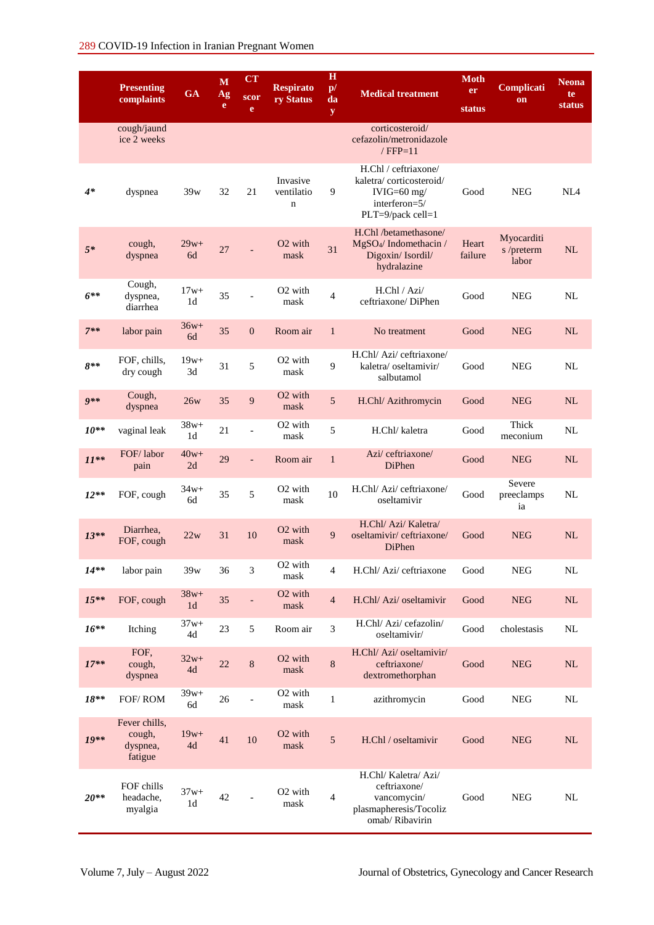|           | <b>Presenting</b><br>complaints                | <b>GA</b>                | M<br>Ag<br>e | CT<br>scor<br>e | <b>Respirato</b><br>ry Status         | $\mathbf H$<br>$\mathbf{p}$ /<br>da<br>${\bf y}$ | <b>Medical treatment</b>                                                                                | Moth<br>er<br>status | Complicati<br>on                  | <b>Neona</b><br>te<br>status |
|-----------|------------------------------------------------|--------------------------|--------------|-----------------|---------------------------------------|--------------------------------------------------|---------------------------------------------------------------------------------------------------------|----------------------|-----------------------------------|------------------------------|
|           | cough/jaund<br>ice 2 weeks                     |                          |              |                 |                                       |                                                  | corticosteroid/<br>cefazolin/metronidazole<br>$/$ FFP=11                                                |                      |                                   |                              |
| $4*$      | dyspnea                                        | 39w                      | 32           | 21              | Invasive<br>ventilatio<br>$\mathbf n$ | 9                                                | H.Chl / ceftriaxone/<br>kaletra/corticosteroid/<br>IVIG= $60$ mg/<br>interferon=5/<br>PLT=9/pack cell=1 | Good                 | <b>NEG</b>                        | NL <sub>4</sub>              |
| $5*$      | cough,<br>dyspnea                              | $29w+$<br>6d             | 27           |                 | O <sub>2</sub> with<br>mask           | 31                                               | H.Chl /betamethasone/<br>MgSO <sub>4</sub> /Indomethacin/<br>Digoxin/Isordil/<br>hydralazine            | Heart<br>failure     | Myocarditi<br>s /preterm<br>labor | NL                           |
| $6***$    | Cough,<br>dyspnea,<br>diarrhea                 | $17w+$<br>1 <sub>d</sub> | 35           |                 | O <sub>2</sub> with<br>mask           | $\overline{4}$                                   | H.Chl / Azi/<br>ceftriaxone/DiPhen                                                                      | Good                 | <b>NEG</b>                        | NL                           |
| $7**$     | labor pain                                     | $36w+$<br>6d             | 35           | $\mathbf{0}$    | Room air                              | $\mathbf{1}$                                     | No treatment                                                                                            | Good                 | <b>NEG</b>                        | NL                           |
| $8**$     | FOF, chills,<br>dry cough                      | $19w+$<br>3d             | 31           | 5               | $O2$ with<br>mask                     | 9                                                | H.Chl/ Azi/ ceftriaxone/<br>kaletra/oseltamivir/<br>salbutamol                                          | Good                 | <b>NEG</b>                        | NL                           |
| $9**$     | Cough,<br>dyspnea                              | 26w                      | 35           | 9               | O <sub>2</sub> with<br>mask           | 5                                                | H.Chl/ Azithromycin                                                                                     | Good                 | <b>NEG</b>                        | NL                           |
| $10^{**}$ | vaginal leak                                   | $38w+$<br>1 <sub>d</sub> | 21           |                 | O <sub>2</sub> with<br>mask           | 5                                                | H.Chl/ kaletra                                                                                          | Good                 | Thick<br>meconium                 | NL                           |
| $11**$    | FOF/labor<br>pain                              | $40w+$<br>2d             | 29           |                 | Room air                              | $\mathbf{1}$                                     | Azi/ceftriaxone/<br><b>DiPhen</b>                                                                       | Good                 | <b>NEG</b>                        | <b>NL</b>                    |
| $12**$    | FOF, cough                                     | $34w+$<br>6d             | 35           | 5               | O <sub>2</sub> with<br>mask           | 10                                               | H.Chl/ Azi/ ceftriaxone/<br>oseltamivir                                                                 | Good                 | Severe<br>preeclamps<br>ia        | <b>NL</b>                    |
| $13**$    | Diarrhea.<br>FOF, cough                        | 22w                      | 31           | 10              | O <sub>2</sub> with<br>mask           | 9                                                | H.Chl/ Azi/ Kaletra/<br>oseltamivir/ceftriaxone/<br>DiPhen                                              | Good                 | <b>NEG</b>                        | NL                           |
| $14**$    | labor pain                                     | 39w                      | 36           | 3               | O <sub>2</sub> with<br>mask           | 4                                                | H.Chl/ Azi/ ceftriaxone                                                                                 | Good                 | ${\rm NEG}$                       | NL                           |
| $15***$   | FOF, cough                                     | $38w+$<br>1 <sub>d</sub> | 35           |                 | O <sub>2</sub> with<br>mask           | $\overline{4}$                                   | H.Chl/ Azi/ oseltamivir                                                                                 | Good                 | <b>NEG</b>                        | NL                           |
| $16***$   | Itching                                        | $37w+$<br>4d             | 23           | 5               | Room air                              | 3                                                | H.Chl/ Azi/ cefazolin/<br>oseltamivir/                                                                  | Good                 | cholestasis                       | $\rm NL$                     |
| $17**$    | FOF,<br>cough,<br>dyspnea                      | $32w+$<br>4d             | 22           | $\,8\,$         | O <sub>2</sub> with<br>mask           | 8                                                | H.Chl/ Azi/ oseltamivir/<br>ceftriaxone/<br>dextromethorphan                                            | Good                 | <b>NEG</b>                        | NL                           |
| $18**$    | FOF/ROM                                        | $39w+$<br>6d             | 26           |                 | O <sub>2</sub> with<br>mask           | 1                                                | azithromycin                                                                                            | Good                 | <b>NEG</b>                        | NL                           |
| $19**$    | Fever chills,<br>cough,<br>dyspnea,<br>fatigue | $19w+$<br>4d             | 41           | $10\,$          | O <sub>2</sub> with<br>mask           | 5                                                | H.Chl / oseltamivir                                                                                     | Good                 | <b>NEG</b>                        | NL                           |
| $20**$    | FOF chills<br>headache,<br>myalgia             | $37w+$<br>1 <sub>d</sub> | 42           |                 | O <sub>2</sub> with<br>mask           | $\overline{4}$                                   | H.Chl/ Kaletra/ Azi/<br>ceftriaxone/<br>vancomycin/<br>plasmapheresis/Tocoliz<br>omab/ Ribavirin        | Good                 | <b>NEG</b>                        | NL                           |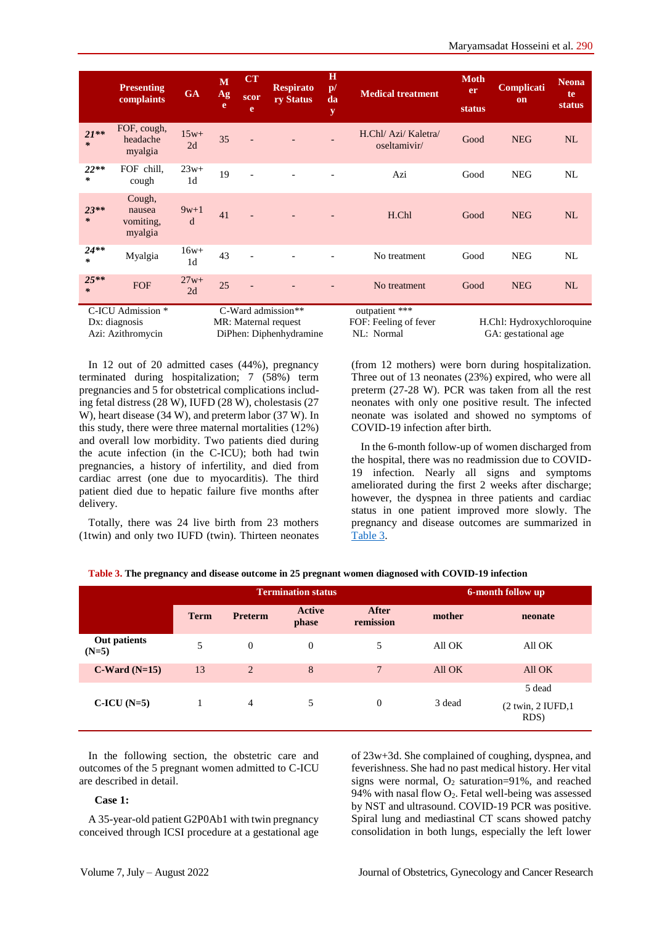|             | <b>Presenting</b><br>complaints                         | <b>GA</b>                | M<br>Ag<br>e | <b>CT</b><br>scor<br>e | <b>Respirato</b><br>ry Status                                         | $\bf{H}$<br>$\mathbf{p}/$<br>da<br>y | <b>Medical treatment</b>                              | <b>Moth</b><br>er<br>status | Complicati<br><sub>on</sub>                      | <b>Neona</b><br>te<br>status |
|-------------|---------------------------------------------------------|--------------------------|--------------|------------------------|-----------------------------------------------------------------------|--------------------------------------|-------------------------------------------------------|-----------------------------|--------------------------------------------------|------------------------------|
| $21**$<br>∗ | FOF, cough,<br>headache<br>myalgia                      | $15w+$<br>2d             | 35           |                        |                                                                       |                                      | H.Chl/ Azi/ Kaletra/<br>oseltamivir/                  | Good                        | <b>NEG</b>                                       | NL                           |
| $22**$<br>∗ | FOF chill,<br>cough                                     | $23w+$<br>1 <sub>d</sub> | 19           |                        |                                                                       |                                      | Azi                                                   | Good                        | <b>NEG</b>                                       | NL                           |
| $23**$<br>∗ | Cough,<br>nausea<br>vomiting,<br>myalgia                | $9w+1$<br>d              | 41           |                        |                                                                       |                                      | H.Chl                                                 | Good                        | <b>NEG</b>                                       | NL                           |
| $24**$<br>∗ | Myalgia                                                 | $16w+$<br>1 <sub>d</sub> | 43           |                        |                                                                       |                                      | No treatment                                          | Good                        | <b>NEG</b>                                       | NL                           |
| $25**$<br>∗ | <b>FOF</b>                                              | $27w+$<br>2d             | 25           |                        |                                                                       |                                      | No treatment                                          | Good                        | <b>NEG</b>                                       | <b>NL</b>                    |
|             | C-ICU Admission *<br>Dx: diagnosis<br>Azi: Azithromycin |                          |              |                        | C-Ward admission**<br>MR: Maternal request<br>DiPhen: Diphenhydramine |                                      | outpatient ***<br>FOF: Feeling of fever<br>NL: Normal |                             | H.Chl: Hydroxychloroquine<br>GA: gestational age |                              |

In 12 out of 20 admitted cases (44%), pregnancy terminated during hospitalization; 7 (58%) term pregnancies and 5 for obstetrical complications including fetal distress (28 W), IUFD (28 W), cholestasis (27 W), heart disease (34 W), and preterm labor (37 W). In this study, there were three maternal mortalities (12%) and overall low morbidity. Two patients died during the acute infection (in the C-ICU); both had twin pregnancies, a history of infertility, and died from cardiac arrest (one due to myocarditis). The third patient died due to hepatic failure five months after delivery.

Totally, there was 24 live birth from 23 mothers (1twin) and only two IUFD (twin). Thirteen neonates (from 12 mothers) were born during hospitalization. Three out of 13 neonates (23%) expired, who were all preterm (27-28 W). PCR was taken from all the rest neonates with only one positive result. The infected neonate was isolated and showed no symptoms of COVID-19 infection after birth.

In the 6-month follow-up of women discharged from the hospital, there was no readmission due to COVID-19 infection. Nearly all signs and symptoms ameliorated during the first 2 weeks after discharge; however, the dyspnea in three patients and cardiac status in one patient improved more slowly. The pregnancy and disease outcomes are summarized in [Table 3.](#page-4-0)

|                         |             |                | <b>Termination status</b> |                    | 6-month follow up |                                            |
|-------------------------|-------------|----------------|---------------------------|--------------------|-------------------|--------------------------------------------|
|                         | <b>Term</b> | <b>Preterm</b> | <b>Active</b><br>phase    | After<br>remission | mother            | neonate                                    |
| Out patients<br>$(N=5)$ | 5           | $\overline{0}$ | $\Omega$                  | 5                  | All OK            | All OK                                     |
| $C-Ward(N=15)$          | 13          | 2              | 8                         | $7\phantom{.0}$    | All OK            | All OK                                     |
| $C-ICU(N=5)$            |             | $\overline{4}$ | 5                         | $\theta$           | 3 dead            | 5 dead<br>$(2$ twin, $2$ IUFD, $1$<br>RDS) |

<span id="page-4-0"></span>**Table 3. The pregnancy and disease outcome in 25 pregnant women diagnosed with COVID-19 infection** 

In the following section, the obstetric care and outcomes of the 5 pregnant women admitted to C-ICU are described in detail.

#### **Case 1:**

A 35-year-old patient G2P0Ab1 with twin pregnancy conceived through ICSI procedure at a gestational age of 23w+3d. She complained of coughing, dyspnea, and feverishness. She had no past medical history. Her vital signs were normal,  $O_2$  saturation=91%, and reached 94% with nasal flow  $O_2$ . Fetal well-being was assessed by NST and ultrasound. COVID-19 PCR was positive. Spiral lung and mediastinal CT scans showed patchy consolidation in both lungs, especially the left lower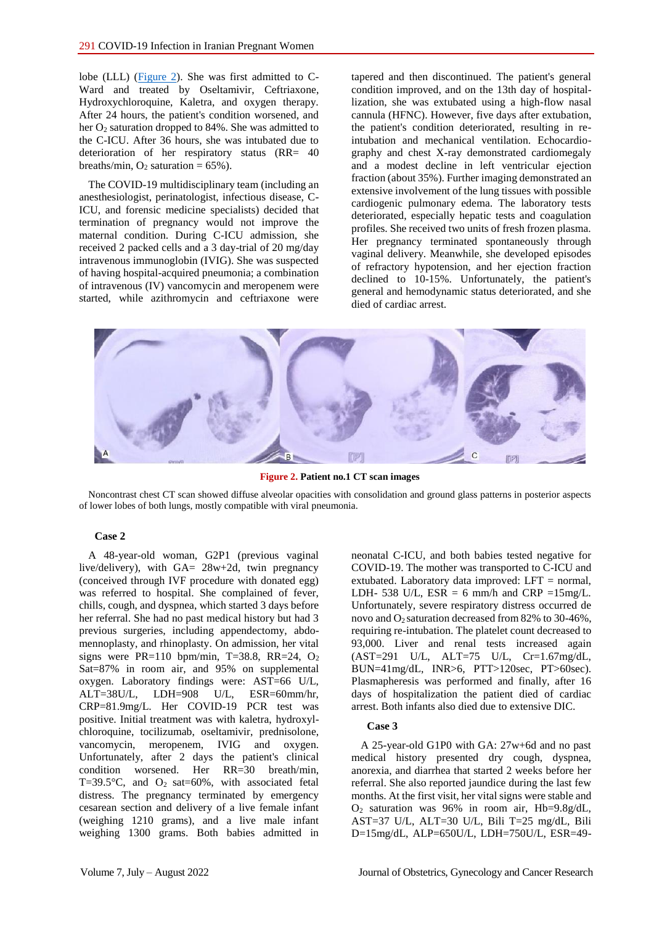lobe (LLL) [\(Figure 2\)](#page-5-0). She was first admitted to C-Ward and treated by Oseltamivir, Ceftriaxone, Hydroxychloroquine, Kaletra, and oxygen therapy. After 24 hours, the patient's condition worsened, and her O<sup>2</sup> saturation dropped to 84%. She was admitted to the C-ICU. After 36 hours, she was intubated due to deterioration of her respiratory status (RR= 40 breaths/min,  $O_2$  saturation = 65%).

The COVID-19 multidisciplinary team (including an anesthesiologist, perinatologist, infectious disease, C-ICU, and forensic medicine specialists) decided that termination of pregnancy would not improve the maternal condition. During C-ICU admission, she received 2 packed cells and a 3 day-trial of 20 mg/day intravenous immunoglobin (IVIG). She was suspected of having hospital-acquired pneumonia; a combination of intravenous (IV) vancomycin and meropenem were started, while azithromycin and ceftriaxone were tapered and then discontinued. The patient's general condition improved, and on the 13th day of hospitallization, she was extubated using a high-flow nasal cannula (HFNC). However, five days after extubation, the patient's condition deteriorated, resulting in reintubation and mechanical ventilation. Echocardiography and chest X-ray demonstrated cardiomegaly and a modest decline in left ventricular ejection fraction (about 35%). Further imaging demonstrated an extensive involvement of the lung tissues with possible cardiogenic pulmonary edema. The laboratory tests deteriorated, especially hepatic tests and coagulation profiles. She received two units of fresh frozen plasma. Her pregnancy terminated spontaneously through vaginal delivery. Meanwhile, she developed episodes of refractory hypotension, and her ejection fraction declined to 10-15%. Unfortunately, the patient's general and hemodynamic status deteriorated, and she died of cardiac arrest.



**Figure 2. Patient no.1 CT scan images**

<span id="page-5-0"></span>Noncontrast chest CT scan showed diffuse alveolar opacities with consolidation and ground glass patterns in posterior aspects of lower lobes of both lungs, mostly compatible with viral pneumonia.

#### **Case 2**

A 48-year-old woman, G2P1 (previous vaginal live/delivery), with GA= 28w+2d, twin pregnancy (conceived through IVF procedure with donated egg) was referred to hospital. She complained of fever, chills, cough, and dyspnea, which started 3 days before her referral. She had no past medical history but had 3 previous surgeries, including appendectomy, abdomennoplasty, and rhinoplasty. On admission, her vital signs were PR=110 bpm/min, T=38.8, RR=24,  $O<sub>2</sub>$ Sat=87% in room air, and 95% on supplemental oxygen. Laboratory findings were: AST=66 U/L, ALT=38U/L, LDH=908 U/L, ESR=60mm/hr, CRP=81.9mg/L. Her COVID-19 PCR test was positive. Initial treatment was with kaletra, hydroxylchloroquine, tocilizumab, oseltamivir, prednisolone, vancomycin, meropenem, IVIG and oxygen. Unfortunately, after 2 days the patient's clinical condition worsened. Her RR=30 breath/min, T=39.5°C, and  $O_2$  sat=60%, with associated fetal distress. The pregnancy terminated by emergency cesarean section and delivery of a live female infant (weighing 1210 grams), and a live male infant weighing 1300 grams. Both babies admitted in

neonatal C-ICU, and both babies tested negative for COVID-19. The mother was transported to C-ICU and extubated. Laboratory data improved: LFT = normal, LDH- 538 U/L,  $ESR = 6$  mm/h and  $CRP = 15$ mg/L. Unfortunately, severe respiratory distress occurred de novo and O2 saturation decreased from 82% to 30-46%, requiring re-intubation. The platelet count decreased to 93,000. Liver and renal tests increased again (AST=291 U/L, ALT=75 U/L, Cr=1.67mg/dL, BUN=41mg/dL, INR>6, PTT>120sec, PT>60sec). Plasmapheresis was performed and finally, after 16 days of hospitalization the patient died of cardiac arrest. Both infants also died due to extensive DIC.

#### **Case 3**

A 25-year-old G1P0 with GA: 27w+6d and no past medical history presented dry cough, dyspnea, anorexia, and diarrhea that started 2 weeks before her referral. She also reported jaundice during the last few months. At the first visit, her vital signs were stable and O<sup>2</sup> saturation was 96% in room air, Hb=9.8g/dL, AST=37 U/L, ALT=30 U/L, Bili T=25 mg/dL, Bili D=15mg/dL, ALP=650U/L, LDH=750U/L, ESR=49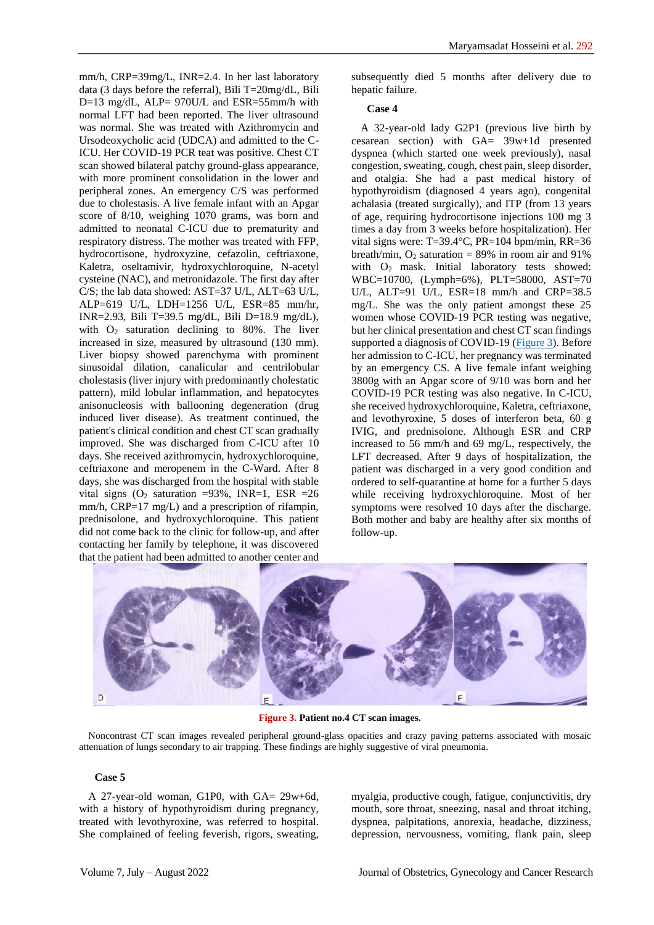mm/h, CRP=39mg/L, INR=2.4. In her last laboratory data (3 days before the referral), Bili T=20mg/dL, Bili D=13 mg/dL, ALP= 970U/L and ESR=55mm/h with normal LFT had been reported. The liver ultrasound was normal. She was treated with Azithromycin and Ursodeoxycholic acid (UDCA) and admitted to the C-ICU. Her COVID-19 PCR teat was positive. Chest CT scan showed bilateral patchy ground-glass appearance, with more prominent consolidation in the lower and peripheral zones. An emergency C/S was performed due to cholestasis. A live female infant with an Apgar score of 8/10, weighing 1070 grams, was born and admitted to neonatal C-ICU due to prematurity and respiratory distress. The mother was treated with FFP, hydrocortisone, hydroxyzine, cefazolin, ceftriaxone, Kaletra, oseltamivir, hydroxychloroquine, N-acetyl cysteine (NAC), and metronidazole. The first day after C/S; the lab data showed: AST=37 U/L, ALT=63 U/L, ALP=619 U/L, LDH=1256 U/L, ESR=85 mm/hr, INR=2.93, Bili T=39.5 mg/dL, Bili D=18.9 mg/dL), with  $O_2$  saturation declining to 80%. The liver increased in size, measured by ultrasound (130 mm). Liver biopsy showed parenchyma with prominent sinusoidal dilation, canalicular and centrilobular cholestasis (liver injury with predominantly cholestatic pattern), mild lobular inflammation, and hepatocytes anisonucleosis with ballooning degeneration (drug induced liver disease). As treatment continued, the patient's clinical condition and chest CT scan gradually improved. She was discharged from C-ICU after 10 days. She received azithromycin, hydroxychloroquine, ceftriaxone and meropenem in the C-Ward. After 8 days, she was discharged from the hospital with stable vital signs  $(O_2$  saturation =93%, INR=1, ESR =26 mm/h, CRP=17 mg/L) and a prescription of rifampin, prednisolone, and hydroxychloroquine. This patient did not come back to the clinic for follow-up, and after contacting her family by telephone, it was discovered that the patient had been admitted to another center and

subsequently died 5 months after delivery due to hepatic failure.

#### **Case 4**

A 32-year-old lady G2P1 (previous live birth by cesarean section) with GA= 39w+1d presented dyspnea (which started one week previously), nasal congestion, sweating, cough, chest pain, sleep disorder, and otalgia. She had a past medical history of hypothyroidism (diagnosed 4 years ago), congenital achalasia (treated surgically), and ITP (from 13 years of age, requiring hydrocortisone injections 100 mg 3 times a day from 3 weeks before hospitalization). Her vital signs were: T=39.4°C, PR=104 bpm/min, RR=36 breath/min,  $O_2$  saturation = 89% in room air and 91% with O<sub>2</sub> mask. Initial laboratory tests showed: WBC=10700, (Lymph=6%), PLT=58000, AST=70 U/L, ALT=91 U/L, ESR=18 mm/h and CRP=38.5 mg/L. She was the only patient amongst these 25 women whose COVID-19 PCR testing was negative, but her clinical presentation and chest CT scan findings supported a diagnosis of COVID-19 [\(Figure 3\)](#page-6-0). Before her admission to C-ICU, her pregnancy was terminated by an emergency CS. A live female infant weighing 3800g with an Apgar score of 9/10 was born and her COVID-19 PCR testing was also negative. In C-ICU, she received hydroxychloroquine, Kaletra, ceftriaxone, and levothyroxine, 5 doses of interferon beta, 60 g IVIG, and prednisolone. Although ESR and CRP increased to 56 mm/h and 69 mg/L, respectively, the LFT decreased. After 9 days of hospitalization, the patient was discharged in a very good condition and ordered to self-quarantine at home for a further 5 days while receiving hydroxychloroquine. Most of her symptoms were resolved 10 days after the discharge. Both mother and baby are healthy after six months of follow-up.



**Figure 3. Patient no.4 CT scan images.**

<span id="page-6-0"></span>Noncontrast CT scan images revealed peripheral ground-glass opacities and crazy paving patterns associated with mosaic attenuation of lungs secondary to air trapping. These findings are highly suggestive of viral pneumonia.

#### **Case 5**

A 27-year-old woman, G1P0, with GA= 29w+6d, with a history of hypothyroidism during pregnancy, treated with levothyroxine, was referred to hospital. She complained of feeling feverish, rigors, sweating, myalgia, productive cough, fatigue, conjunctivitis, dry mouth, sore throat, sneezing, nasal and throat itching, dyspnea, palpitations, anorexia, headache, dizziness, depression, nervousness, vomiting, flank pain, sleep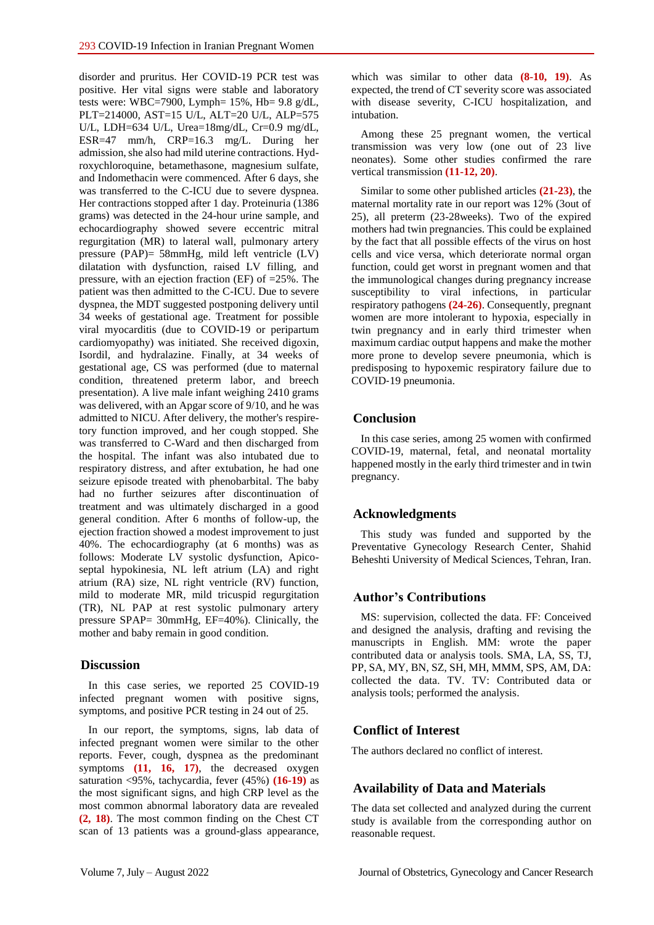disorder and pruritus. Her COVID-19 PCR test was positive. Her vital signs were stable and laboratory tests were: WBC=7900, Lymph= 15%, Hb= 9.8 g/dL, PLT=214000, AST=15 U/L, ALT=20 U/L, ALP=575 U/L, LDH=634 U/L, Urea=18mg/dL, Cr=0.9 mg/dL, ESR=47 mm/h, CRP=16.3 mg/L. During her admission, she also had mild uterine contractions. Hydroxychloroquine, betamethasone, magnesium sulfate, and Indomethacin were commenced. After 6 days, she was transferred to the C-ICU due to severe dyspnea. Her contractions stopped after 1 day. Proteinuria (1386 grams) was detected in the 24-hour urine sample, and echocardiography showed severe eccentric mitral regurgitation (MR) to lateral wall, pulmonary artery pressure (PAP)= 58mmHg, mild left ventricle (LV) dilatation with dysfunction, raised LV filling, and pressure, with an ejection fraction (EF) of =25%. The patient was then admitted to the C-ICU. Due to severe dyspnea, the MDT suggested postponing delivery until 34 weeks of gestational age. Treatment for possible viral myocarditis (due to COVID-19 or peripartum cardiomyopathy) was initiated. She received digoxin, Isordil, and hydralazine. Finally, at 34 weeks of gestational age, CS was performed (due to maternal condition, threatened preterm labor, and breech presentation). A live male infant weighing 2410 grams was delivered, with an Apgar score of 9/10, and he was admitted to NICU. After delivery, the mother's respiretory function improved, and her cough stopped. She was transferred to C-Ward and then discharged from the hospital. The infant was also intubated due to respiratory distress, and after extubation, he had one seizure episode treated with phenobarbital. The baby had no further seizures after discontinuation of treatment and was ultimately discharged in a good general condition. After 6 months of follow-up, the ejection fraction showed a modest improvement to just 40%. The echocardiography (at 6 months) was as follows: Moderate LV systolic dysfunction, Apicoseptal hypokinesia, NL left atrium (LA) and right atrium (RA) size, NL right ventricle (RV) function, mild to moderate MR, mild tricuspid regurgitation (TR), NL PAP at rest systolic pulmonary artery pressure SPAP= 30mmHg, EF=40%). Clinically, the mother and baby remain in good condition.

## **Discussion**

In this case series, we reported 25 COVID-19 infected pregnant women with positive signs, symptoms, and positive PCR testing in 24 out of 25.

In our report, the symptoms, signs, lab data of infected pregnant women were similar to the other reports. Fever, cough, dyspnea as the predominant symptoms **(11, 16, 17)**, the decreased oxygen saturation <95%, tachycardia, fever (45%) **(16-19)** as the most significant signs, and high CRP level as the most common abnormal laboratory data are revealed **(2, 18)**. The most common finding on the Chest CT scan of 13 patients was a ground-glass appearance,

which was similar to other data **(8-10, 19)**. As expected, the trend of CT severity score was associated with disease severity, C-ICU hospitalization, and intubation.

Among these 25 pregnant women, the vertical transmission was very low (one out of 23 live neonates). Some other studies confirmed the rare vertical transmission **(11-12, 20)**.

Similar to some other published articles **(21-23)**, the maternal mortality rate in our report was 12% (3out of 25), all preterm (23-28weeks). Two of the expired mothers had twin pregnancies. This could be explained by the fact that all possible effects of the virus on host cells and vice versa, which deteriorate normal organ function, could get worst in pregnant women and that the immunological changes during pregnancy increase susceptibility to viral infections, in particular respiratory pathogens **(24-26)**. Consequently, pregnant women are more intolerant to hypoxia, especially in twin pregnancy and in early third trimester when maximum cardiac output happens and make the mother more prone to develop severe pneumonia, which is predisposing to hypoxemic respiratory failure due to COVID‐19 pneumonia.

## **Conclusion**

In this case series, among 25 women with confirmed COVID-19, maternal, fetal, and neonatal mortality happened mostly in the early third trimester and in twin pregnancy.

## **Acknowledgments**

This study was funded and supported by the Preventative Gynecology Research Center, Shahid Beheshti University of Medical Sciences, Tehran, Iran.

## **Author's Contributions**

MS: supervision, collected the data. FF: Conceived and designed the analysis, drafting and revising the manuscripts in English. MM: wrote the paper contributed data or analysis tools. SMA, LA, SS, TJ, PP, SA, MY, BN, SZ, SH, MH, MMM, SPS, AM, DA: collected the data. TV. TV: Contributed data or analysis tools; performed the analysis.

## **Conflict of Interest**

The authors declared no conflict of interest.

## **Availability of Data and Materials**

The data set collected and analyzed during the current study is available from the corresponding author on reasonable request.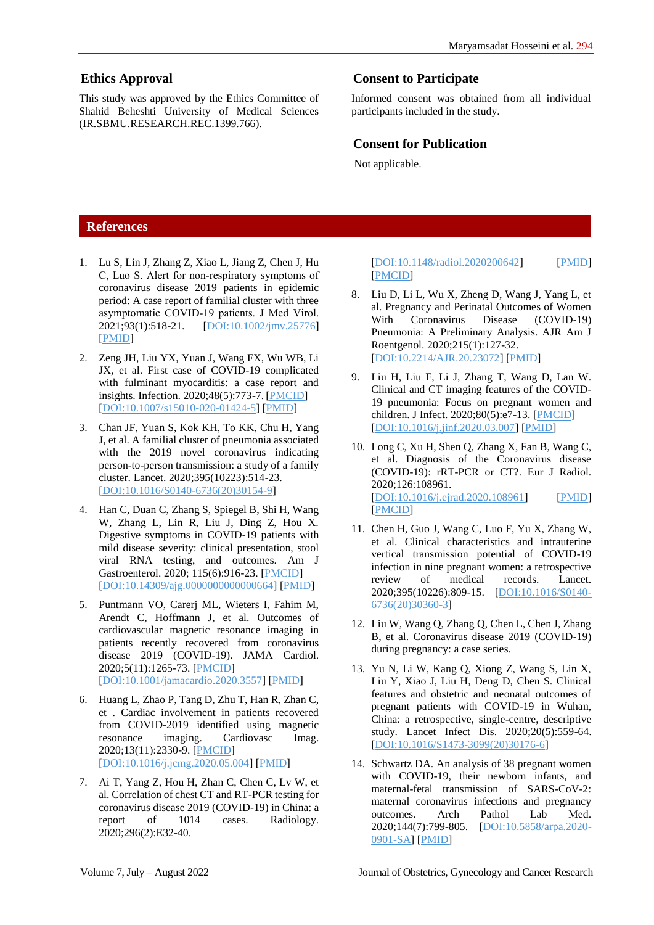## **Ethics Approval**

This study was approved by the Ethics Committee of Shahid Beheshti University of Medical Sciences (IR.SBMU.RESEARCH.REC.1399.766).

# **Consent to Participate**

Informed consent was obtained from all individual participants included in the study.

## **Consent for Publication**

Not applicable.

## **References**

- 1. Lu S, Lin J, Zhang Z, Xiao L, Jiang Z, Chen J, Hu C, Luo S. Alert for non‐respiratory symptoms of coronavirus disease 2019 patients in epidemic period: A case report of familial cluster with three asymptomatic COVID‐19 patients. J Med Virol. 2021;93(1):518-21. [\[DOI:10.1002/jmv.25776\]](https://doi.org/10.1002/jmv.25776) [\[PMID\]](https://www.ncbi.nlm.nih.gov/pubmed/32190904)
- 2. Zeng JH, Liu YX, Yuan J, Wang FX, Wu WB, Li JX, et al. First case of COVID-19 complicated with fulminant myocarditis: a case report and insights. Infection. 2020;48(5):773-7. [\[PMCID\]](http://www.ncbi.nlm.nih.gov/pmc/articles/PMC7146072) [\[DOI:10.1007/s15010-020-01424-5\]](https://doi.org/10.1007/s15010-020-01424-5) [\[PMID\]](https://www.ncbi.nlm.nih.gov/pubmed/32277408)
- 3. Chan JF, Yuan S, Kok KH, To KK, Chu H, Yang J, et al. A familial cluster of pneumonia associated with the 2019 novel coronavirus indicating person-to-person transmission: a study of a family cluster. Lancet. 2020;395(10223):514-23. [\[DOI:10.1016/S0140-6736\(20\)30154-9\]](https://doi.org/10.1016/S0140-6736(20)30154-9)
- 4. Han C, Duan C, Zhang S, Spiegel B, Shi H, Wang W, Zhang L, Lin R, Liu J, Ding Z, Hou X. Digestive symptoms in COVID-19 patients with mild disease severity: clinical presentation, stool viral RNA testing, and outcomes. Am J Gastroenterol. 2020; 115(6):916-23. [\[PMCID\]](http://www.ncbi.nlm.nih.gov/pmc/articles/PMC7172493) [\[DOI:10.14309/ajg.0000000000000664\]](https://doi.org/10.14309/ajg.0000000000000664) [\[PMID\]](https://www.ncbi.nlm.nih.gov/pubmed/32301761)
- 5. Puntmann VO, Carerj ML, Wieters I, Fahim M, Arendt C, Hoffmann J, et al. Outcomes of cardiovascular magnetic resonance imaging in patients recently recovered from coronavirus disease 2019 (COVID-19). JAMA Cardiol. 2020;5(11):1265-73. [\[PMCID\]](http://www.ncbi.nlm.nih.gov/pmc/articles/PMC7385689) [\[DOI:10.1001/jamacardio.2020.3557\]](https://doi.org/10.1001/jamacardio.2020.3557) [\[PMID\]](https://www.ncbi.nlm.nih.gov/pubmed/32730619)
- 6. Huang L, Zhao P, Tang D, Zhu T, Han R, Zhan C, et . Cardiac involvement in patients recovered from COVID-2019 identified using magnetic resonance imaging. Cardiovasc Imag. 2020;13(11):2330-9. [\[PMCID\]](http://www.ncbi.nlm.nih.gov/pmc/articles/PMC7214335) [\[DOI:10.1016/j.jcmg.2020.05.004\]](https://doi.org/10.1016/j.jcmg.2020.05.004) [\[PMID\]](https://www.ncbi.nlm.nih.gov/pubmed/32763118)
- 7. Ai T, Yang Z, Hou H, Zhan C, Chen C, Lv W, et al. Correlation of chest CT and RT-PCR testing for coronavirus disease 2019 (COVID-19) in China: a report of 1014 cases. Radiology. 2020;296(2):E32-40.

#### [\[DOI:10.1148/radiol.2020200642\]](https://doi.org/10.1148/radiol.2020200642) [\[PMID\]](https://www.ncbi.nlm.nih.gov/pubmed/32101510) [\[PMCID\]](http://www.ncbi.nlm.nih.gov/pmc/articles/PMC7233399)

- 8. Liu D, Li L, Wu X, Zheng D, Wang J, Yang L, et al. Pregnancy and Perinatal Outcomes of Women With Coronavirus Disease (COVID-19) Pneumonia: A Preliminary Analysis. AJR Am J Roentgenol. 2020;215(1):127-32. [\[DOI:10.2214/AJR.20.23072\]](https://doi.org/10.2214/AJR.20.23072) [\[PMID\]](https://www.ncbi.nlm.nih.gov/pubmed/32186894)
- 9. Liu H, Liu F, Li J, Zhang T, Wang D, Lan W. Clinical and CT imaging features of the COVID-19 pneumonia: Focus on pregnant women and children. J Infect. 2020;80(5):e7-13. [\[PMCID\]](http://www.ncbi.nlm.nih.gov/pmc/articles/PMC7156118) [\[DOI:10.1016/j.jinf.2020.03.007\]](https://doi.org/10.1016/j.jinf.2020.03.007) [\[PMID\]](https://www.ncbi.nlm.nih.gov/pubmed/32171865)
- 10. Long C, Xu H, Shen Q, Zhang X, Fan B, Wang C, et al. Diagnosis of the Coronavirus disease (COVID-19): rRT-PCR or CT?. Eur J Radiol. 2020;126:108961. [\[DOI:10.1016/j.ejrad.2020.108961\]](https://doi.org/10.1016/j.ejrad.2020.108961) [\[PMID\]](https://www.ncbi.nlm.nih.gov/pubmed/32229322) [\[PMCID\]](http://www.ncbi.nlm.nih.gov/pmc/articles/PMC7102545)
- 11. Chen H, Guo J, Wang C, Luo F, Yu X, Zhang W, et al. Clinical characteristics and intrauterine vertical transmission potential of COVID-19 infection in nine pregnant women: a retrospective review of medical records. Lancet. 2020;395(10226):809-15. **[\[DOI:10.1016/S0140-](https://doi.org/10.1016/S0140-6736(20)30360-3)** [6736\(20\)30360-3\]](https://doi.org/10.1016/S0140-6736(20)30360-3)
- 12. Liu W, Wang Q, Zhang Q, Chen L, Chen J, Zhang B, et al. Coronavirus disease 2019 (COVID-19) during pregnancy: a case series.
- 13. Yu N, Li W, Kang Q, Xiong Z, Wang S, Lin X, Liu Y, Xiao J, Liu H, Deng D, Chen S. Clinical features and obstetric and neonatal outcomes of pregnant patients with COVID-19 in Wuhan, China: a retrospective, single-centre, descriptive study. Lancet Infect Dis. 2020;20(5):559-64. [\[DOI:10.1016/S1473-3099\(20\)30176-6\]](https://doi.org/10.1016/S1473-3099(20)30176-6)
- 14. Schwartz DA. An analysis of 38 pregnant women with COVID-19, their newborn infants, and maternal-fetal transmission of SARS-CoV-2: maternal coronavirus infections and pregnancy outcomes. Arch Pathol Lab Med. 2020;144(7):799-805. [\[DOI:10.5858/arpa.2020-](https://doi.org/10.5858/arpa.2020-0901-SA) [0901-SA\]](https://doi.org/10.5858/arpa.2020-0901-SA) [\[PMID\]](https://www.ncbi.nlm.nih.gov/pubmed/32180426)